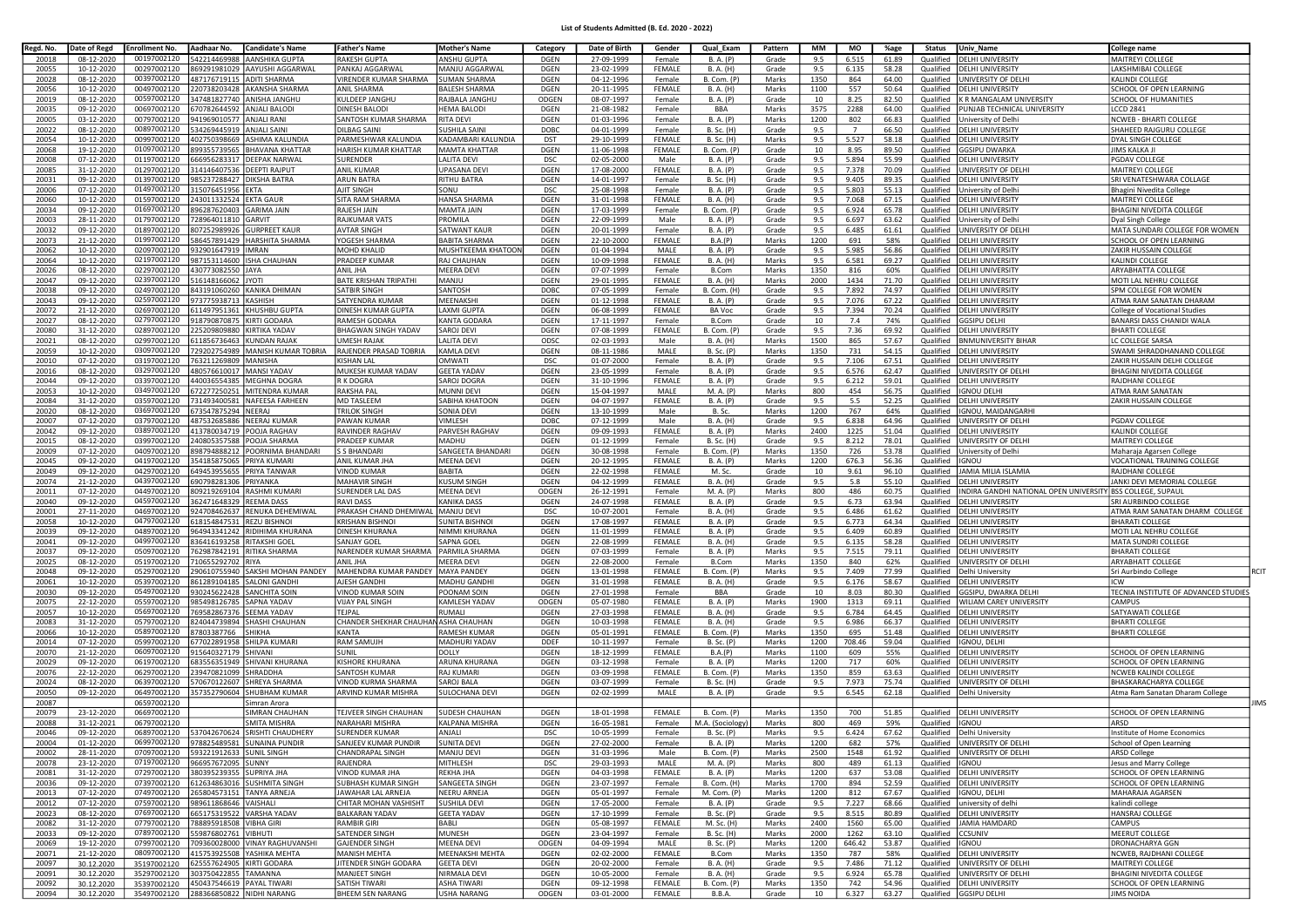## List of Students Admitted (B. Ed. 2020 - 2022)

| Regd. No. | Date of Regd | <b>Enrollment No.</b>                 | Aadhaar No.              | <b>Candidate's Name</b>        | <b>Father's Name</b>                   | <b>Mother's Name</b>  | Category    | Date of Birth | Gender        | Qual Exam          | Pattern | MM   | MO             | %age  | <b>Status</b> | Univ Name                             | College name                          |
|-----------|--------------|---------------------------------------|--------------------------|--------------------------------|----------------------------------------|-----------------------|-------------|---------------|---------------|--------------------|---------|------|----------------|-------|---------------|---------------------------------------|---------------------------------------|
| 20018     | 08-12-2020   | 00197002120                           | 542214469988             | AANSHIKA GUPTA                 | <b>RAKESH GUPTA</b>                    | ANSHU GUPTA           | <b>DGEN</b> | 27-09-1999    | Female        | B. A. (P)          | Grade   | 9.5  | 6.515          | 61.89 | Qualified     | <b>DELHI UNIVERSITY</b>               | MAITREYI COLLEGE                      |
| 20055     | 10-12-2020   | 00297002120                           | 869291981029             | AAYUSHI AGGARWAL               | PANKAJ AGGARWAL                        | MANJU AGGARWAI        | <b>DGEN</b> | 23-02-1999    | <b>FFMALF</b> | B. A. (H)          | Grade   | 9.5  | 6.135          | 58.28 | Qualified     | ELHI UNIVERSITY                       | AKSHMIBAI COLLEGE                     |
| 20028     | 08-12-2020   | 00397002120                           | 487176719115             | <b>ADITI SHARMA</b>            | <b>VIRENDER KUMAR SHARMA</b>           | <b>SUMAN SHARMA</b>   | <b>DGEN</b> | 04-12-1996    | Female        | <b>B.</b> Com. (P) | Marks   | 1350 | 864            | 64.00 | Qualified     | <b>INIVERSITY OF DELHI</b>            | KALINDI COLLEGE                       |
| 20056     | 10-12-2020   | 00497002120                           | 220738203428             | AKANSHA SHARMA                 | <b>ANII SHARMA</b>                     | <b>BALESH SHARMA</b>  | <b>DGEN</b> | 20-11-1995    | FEMALE        | B. A. (H)          | Marks   | 1100 | 557            | 50.64 | Qualified     | DELHI UNIVERSITY                      | SCHOOL OF OPEN LEARNING               |
| 20019     | 08-12-2020   | 00597002120                           | 347481827740             | ANISHA JANGHU                  | KULDEEP JANGHL                         | RAJBALA JANGHU        | ODGEN       | 08-07-1997    | Female        | B. A. (P)          | Grade   | 10   | 8.25           | 82.50 | Qualified     | R MANGALAM UNIVERSITY                 | SCHOOL OF HUMANITIES                  |
| 20035     | 09-12-2020   | 00697002120                           | 670782644592             | ANJALI BALODI                  | DINESH BALODI                          | <b>HEMA BALODI</b>    | <b>DGEN</b> | 21-08-1982    | Female        | <b>BBA</b>         | Marks   | 3575 | 2288           | 64.00 | Qualified     | UNJAB TECHNICAL UNIVERSITY            | CCD 2841                              |
| 20005     | 03-12-2020   | 00797002120                           | 941969010577             | ANJALI RANI                    | SANTOSH KUMAR SHARMA                   | <b>RITA DEVI</b>      | DGEN        | 01-03-1996    | Female        | B. A. (P)          | Marks   | 1200 | 802            | 66.83 | Qualified     | niversity of Delhi                    | <b>NCWEB - BHARTI COLLEGE</b>         |
| 20022     | 08-12-2020   | 00897002120                           | 534269445919             | ANJALI SAIN                    | DILBAG SAINI                           | SUSHILA SAINI         | DOBC        | 04-01-1999    | Female        | B. Sc. (H)         | Grade   | 9.5  | $\overline{7}$ | 66.50 | Qualified     | ELHI UNIVERSITY                       | HAHEED RAJGURU COLLEGE                |
| 20054     | 10-12-2020   | 00997002120                           | 402750398669             | ASHIMA KALUNDIA                | PARMESHWAR KALUNDIA                    | KADAMBARI KALUNDIA    | <b>DST</b>  | 29-10-1999    | <b>FEMALE</b> | B. Sc. (H)         | Marks   | 9.5  | 5.527          | 58.18 | Qualified     | <b>DELHI UNIVERSITY</b>               | DYAL SINGH COLLEGE                    |
| 20068     | 19-12-2020   | 01097002120                           | 899355739565             | BHAVANA KHATTAR                | HARISH KUMAR KHATTAR                   | <b>MAMTA KHATTAR</b>  | <b>DGEN</b> | 11-06-1998    | FEMALE        | B. Com. (P)        | Grade   | 10   | 8.95           | 89.50 | Qualified     | GSIPU DWARKA                          | JIMS KALKA J                          |
| 20008     | 07-12-2020   | 01197002120                           | 666956283317             | DEEPAK NARWAL                  | SURENDER                               | LALITA DEVI           | <b>DSC</b>  | 02-05-2000    | Male          | B. A. (P)          | Grade   | 9.5  | 5.894          | 55.99 | Qualified     | <b>DELHI UNIVERSITY</b>               | PGDAV COLLEGI                         |
| 20085     | 31-12-2020   | 01297002120                           | 314146407536             | DEEPTI RAJPUT                  | <b>ANIL KUMAR</b>                      | <b>UPASANA DEV</b>    | <b>DGEN</b> | 17-08-2000    | <b>FEMALE</b> | <b>B.A.</b> (P)    | Grade   | 9.5  | 7.378          | 70.09 | Qualified     | INIVERSITY OF DELHI                   | MAITREYI COLLEGE                      |
| 20031     | 09-12-2020   | 01397002120                           | 985237288427             | DIKSHA BATRA                   | <b>ARUN BATRA</b>                      | <b>RITHU BATRA</b>    | DGEN        | 14-01-1997    | Female        | B. Sc. (H)         | Grade   | 9.5  | 9.405          | 89.35 | Qualified     | <b>DELHI UNIVERSITY</b>               | SRI VENATESHWARA COLLAGE              |
| 20006     | 07-12-2020   | 01497002120                           | 315076451956             | KTA:                           | <b>AJIT SINGH</b>                      | SONU                  | <b>DSC</b>  | 25-08-1998    | Female        | B. A. (P)          | Grade   | 9.5  | 5.803          | 55.13 | Qualified     | niversity of Delh                     | 3hagini Nivedita College              |
| 20060     | 10-12-2020   | 01597002120                           | 243011332524             | EKTA GAUR                      | <b>SITA RAM SHARMA</b>                 | HANSA SHARMA          | <b>DGEN</b> | 31-01-1998    | <b>FEMALE</b> | B. A. (H)          | Grade   | 9.5  | 7.068          | 67.15 | Qualified     | <b>DELHI UNIVERSITY</b>               | <b>MAITREYI COLLEGE</b>               |
| 20034     | 09-12-2020   | 01697002120                           | 896287620403             | <b>GARIMA JAIN</b>             | RAJESH JAIN                            | <b>MAMTA JAIN</b>     | <b>DGEN</b> | 17-03-1999    | Female        | <b>B.</b> Com. (P) | Grade   | 9.5  | 6.924          | 65.78 | Qualified     | <b>DELHI UNIVERSITY</b>               | BHAGINI NIVEDITA COLLEGE              |
| 20003     | 28-11-2020   | 01797002120                           | 728964011810             | GARVIT                         | RAJKUMAR VATS                          | PROMILA               | <b>DGEN</b> | 22-09-1999    | Male          | B. A. (P)          | Grade   | 9.5  | 6.697          | 63.62 | Qualified     | niversity of Delhi                    | Dyal Singh College                    |
| 20032     | 09-12-2020   | 01897002120                           | 807252989926             | <b>GURPREET KAUR</b>           | <b>AVTAR SINGH</b>                     | SATWANT KAUR          | <b>DGEN</b> | 20-01-1999    | Female        | B. A. (P)          | Grade   | 9.5  | 6.485          | 61.61 | Qualified     | NIVERSITY OF DELHI                    | MATA SUNDARI COLLEGE FOR WOMEN        |
| 20073     | 21-12-2020   | 01997002120                           | 586457891429             | HARSHITA SHARMA                | YOGESH SHARMA                          | <b>BABITA SHARMA</b>  | DGEN        | 22-10-2000    | FEMALE        | B.A.(P)            | Marks   | 1200 | 691            | 58%   | Qualified     | ELHI UNIVERSITY                       | SCHOOL OF OPEN LEARNING               |
| 20062     | 10-12-2020   | 02097002120                           | 932901647919             | <b>IMRAN</b>                   | MOHD KHALID                            | MUSHTKEEMA KHATOOM    | <b>DGEN</b> | 01-04-1994    | MALE          | B. A. (P)          | Grade   | 9.5  | 5.985          | 56.86 | Qualified     | ELHI UNIVERSITY                       | ZAKIR HUSSAIN COLLEGE                 |
| 20064     | 10-12-2020   | 02197002120                           | 987153114600             | ISHA CHAUHAN                   | PRADEEP KUMAR                          | RAJ CHAUHAN           | <b>DGEN</b> | 10-09-1998    | FEMALE        | B. A. (H)          | Marks   | 9.5  | 6.581          | 69.27 | Qualified     | <b>DELHI UNIVERSITY</b>               | KALINDI COLLEGE                       |
| 20026     | 08-12-2020   | 02297002120                           | 430773082550             | JAYA                           | ANIL JHA                               | <b>MEERA DEVI</b>     | <b>DGEN</b> | 07-07-1999    | Female        | B.Com              | Marks   | 1350 | 816            | 60%   | Qualified     | DELHI UNIVERSITY                      | ARYABHATTA COLLEGE                    |
| 20047     | 09-12-2020   | 02397002120                           | 516148166062             | <b>IYOTI</b>                   | BATE KRISHAN TRIPATHI                  | MANJU                 | <b>DGEN</b> | 29-01-1995    | FEMALE        | B. A. (H)          | Marks   | 2000 | 1434           | 71.70 | Qualified     | <b>DELHI UNIVERSITY</b>               | MOTI LAL NEHRU COLLEGE                |
| 20038     | 09-12-2020   | 02497002120                           | 843191060260             | KANIKA DHIMAN                  | SATBIR SINGH                           | SANTOSH               | DOBC        | 07-05-1999    | Female        | B. Com. (H)        | Grade   | 9.5  | 7.892          | 74.97 | Qualified     | <b>DELHI UNIVERSITY</b>               | SPM COLLEGE FOR WOMEN                 |
| 20043     | 09-12-2020   | 02597002120                           | 973775938713             | KASHISH                        | SATYENDRA KUMAR                        | <b>MEENAKSHI</b>      | <b>DGEN</b> | 01-12-1998    | <b>FEMALE</b> | B. A. (P)          | Grade   | 9.5  | 7.076          | 67.22 | Qualified     | <b>DELHI UNIVERSITY</b>               | ATMA RAM SANATAN DHARAM               |
| 20072     | 21-12-2020   | 02697002120                           | 611497951361             | KHUSHBU GUPTA                  | DINESH KUMAR GUPTA                     | LAXMI GUPTA           | DGEN        | 06-08-1999    | FEMALE        | <b>BA Voc</b>      | Grade   | 9.5  | 7.394          | 70.24 | Qualified     | ELHI UNIVERSITY                       | ollege of Vocational Studies          |
| 20027     | 08-12-2020   | 02797002120                           | 918790870875             | KIRTI GODARA                   | RAMESH GODARA                          | KANTA GODARA          | DGEN        | 17-11-1997    | Female        | B.Com              | Grade   | 10   | 7.4            | 74%   | Qualified     | <b>GSIPU DELHI</b>                    | ANARSI DASS CHANIDI WALA              |
| 20080     | 31-12-2020   | 02897002120                           | 225209809880             | KIRTIKA YADAV                  | <b>BHAGWAN SINGH YADAV</b>             | SAROJ DEVI            | <b>DGEN</b> | 07-08-1999    | <b>FEMALE</b> | <b>B. Com.</b> (P) | Grade   | 9.5  | 7.36           | 69.92 | Qualified     | <b>ELHI UNIVERSITY</b>                | <b>BHARTI COLLEGE</b>                 |
| 20021     | 08-12-2020   | 02997002120                           | 611856736463             | KUNDAN RAJAK                   | UMESH RAJAK                            | LALITA DEVI           | ODSC        | 02-03-1993    | Male          | B. A. (H)          | Marks   | 1500 | 865            | 57.67 | Qualified     | <b>SNMUNIVERSITY BIHAR</b>            | C COLLEGE SARSA                       |
| 20059     | 10-12-2020   | 03097002120                           | 729202754989             | MANISH KUMAR TOBRIA            | RAJENDER PRASAD TOBRIA                 | <b>KAMLA DEV</b>      | DGEN        | 08-11-1986    | MALE          | <b>B. Sc. (P)</b>  | Marks   | 1350 | 731            | 54.15 | Qualified     | ELHI UNIVERSITY                       | SWAMI SHRADDHANAND COLLEGE            |
| 20010     | 07-12-2020   | 03197002120                           | 763211269809             | MANISHA                        | KISHAN LAI                             | OMWATI                | <b>DSC</b>  | 01-07-2000    | Female        | B. A. (P)          | Grade   | 9.5  | 7.106          | 67.51 | Qualified     | ELHI UNIVERSITY                       | ZAKIR HUSSAIN DELHI COLLEGE           |
| 20016     | 08-12-2020   | 03297002120                           | 480576610017             | MANSI YADAV                    | MUKESH KUMAR YADAV                     | <b>GEETA YADAV</b>    | <b>DGEN</b> | 23-05-1999    | Female        | B. A. (P)          | Grade   | 9.5  | 6.576          | 62.47 | Qualified     | INIVERSITY OF DELHI                   | BHAGINI NIVEDITA COLLEGE              |
| 20044     | 09-12-2020   | 03397002120                           | 440036554385             | MEGHNA DOGRA                   | R K DOGRA                              | SAROJ DOGRA           | DGEN        | 31-10-1996    | <b>FEMALE</b> | B. A. (P)          | Grade   | 9.5  | 6.212          | 59.01 | Qualified     | ELHI UNIVERSITY                       | RAJDHANI COLLEGE                      |
| 20053     | 10-12-2020   | 03497002120                           | 672277250251             | MITENDRA KUMAR                 | RAKSHA PAI                             | MUNNI DEVI            | <b>DGEN</b> | 15-04-1997    | MALE          | M. A. (P)          | Marks   | 800  | 454            | 56.75 | Qualified     | <b>GNOU DELHI</b>                     | <b>TMA RAM SANATAN</b>                |
| 20084     | 31-12-2020   | 03597002120                           | 731493400581             | NAFEESA FARHEEN                | <b>MD TASLEEM</b>                      | <b>SABIHA KHATOON</b> | <b>DGEN</b> | 04-07-1997    | FEMALE        | B. A. (P)          | Grade   | 9.5  | 5.5            | 52.25 | Qualified     | DELHI UNIVERSITY                      | ZAKIR HUSSAIN COLLEGE                 |
| 20020     | 08-12-2020   | 03697002120                           | 673547875294             | NFFRAI                         | TRII OK SINGI                          | <b>SONIA DEVI</b>     | DGEN        | 13-10-1999    | Male          | B. Sc              | Marks   | 1200 | 767            | 64%   | Qualified     | <b>GNOU, MAIDANGARHI</b>              |                                       |
| 20007     | 07-12-2020   | 03797002120                           | 487532685886             | NEFRAI KUMAR                   | <b>PAWAN KUMAR</b>                     | VIMLESH               | DOBC        | 07-12-1999    | Male          | B. A. (H)          | Grade   | 9.5  | 6.838          | 64.96 | Qualified     | INIVERSITY OF DELHI                   | PGDAV COLLEGE                         |
| 20042     | 09-12-2020   | 03897002120                           | 413780034719             | POOJA RAGHAV                   | <b>RAVINDER RAGHAV</b>                 | PARVESH RAGHAV        | <b>DGEN</b> | 09-09-1993    | FEMALE        | B. A. (P)          | Marks   | 2400 | 1225           | 51.04 | Qualified     | <b>DELHI UNIVERSITY</b>               | KALINDI COLLEGE                       |
| 20015     | 08-12-2020   | 03997002120                           | 40805357588              | OOJA SHARMA                    | PRADEEP KUMAR                          | MADHU                 | DGEN        | 01-12-1999    | Female        | B. Sc. (H)         | Grade   | 9.5  | 8.212          | 78.01 | Qualified     | <b>INIVERSITY OF DELHI</b>            | MAITREYI COLLEGE                      |
| 20009     | 07-12-2020   | 04097002120                           | 98794888212              | POORNIMA BHANDARI              | <b>S BHANDARI</b>                      | SANGEETA BHANDARI     | <b>DGEN</b> | 30-08-1998    | Female        | B. Com. (P)        | Marks   | 1350 | 726            | 53.78 | Qualified     | niversity of Delhi                    | Maharaja Agarsen College              |
| 20045     | 09-12-2020   | 04197002120                           | 354185875065             | PRIYA KUMARI                   | ANIL KUMAR JHA                         | <b>MEENA DEVI</b>     | <b>DGEN</b> | 20-12-1995    | FEMALE        | B. A. (P)          | Marks   | 1200 | 676.3          | 56.36 | Qualified     | GNOU                                  | /OCATIONAL TRAINING COLLEGE           |
| 20049     | 09-12-2020   | 04297002120                           | 649453955655             | <b>RIYA TANWAR</b>             | <b>JINOD KUMAR</b>                     | BABITA                | DGEN        | 22-02-1998    | FEMALE        | M. Sc.             | Grade   | 10   | 9.61           | 96.10 | Qualified     | AMIA MILIA ISLAMIA                    | RAJDHANI COLLEGE                      |
| 20074     | 21-12-2020   | 04397002120                           | 690798281306             | <b>RIYANKA</b>                 | <b>MAHAVIR SINGH</b>                   | KUSUM SINGH           | DGEN        | 04-12-1999    | <b>FEMALE</b> | B. A. (H)          | Grade   | 9.5  | 5.8            | 55.10 | Qualified     | FI HI UNIVERSITY                      | ANKI DEVI MEMORIAL COLLEGE            |
| 20011     | 07-12-2020   | 04497002120                           | 809219269104             | RASHMI KUMARI                  | SURENDER LAL DAS                       | <b>MEENA DEVI</b>     | ODGEN       | 26-12-1991    | Female        | M. A. (P)          | Marks   | 800  | 486            | 60.75 | Qualified     | NDIRA GANDHI NATIONAL OPEN UNIVERSITY | BSS COLLEGE, SUPAU                    |
| 20040     | 09-12-2020   | 04597002120                           | 362471648329             | REEMA DASS                     | <b>RAVI DASS</b>                       | <b>KANIKA DASS</b>    | DGEN        | 24-07-1998    | FEMALE        | B. A. (P)          | Grade   | 9.5  | 6.73           | 63.94 | Qualified     | ELHI UNIVERSITY                       | RI AURBINDO COLLEGE                   |
| 20001     | 27-11-2020   | 04697002120                           | 924708462637             | RENUKA DEHEMIWAL               | PRAKASH CHAND DHEMIWAL MAANJU DEVI     |                       | <b>DSC</b>  | 10-07-2001    | Female        | B. A. (H)          | Grade   | 9.5  | 6.486          | 61.62 | Qualified     | <b>DELHI UNIVERSITY</b>               | <b>ITMA RAM SANATAN DHARM COLLEGE</b> |
| 20058     | 10-12-2020   | 04797002120                           | 618154847531             | <b>REZU BISHNOI</b>            | KRISHAN BISHNO                         | <b>SUNITA BISHNO</b>  | <b>DGEN</b> | 17-08-1997    | FEMALE        | B. A. (P)          | Grade   | 9.5  | 6.773          | 64.34 | Qualified     | DELHI UNIVERSITY                      | <b>BHARATI COLLEGE</b>                |
| 20039     | 09-12-2020   | 04897002120                           | 964943341242             | RIDIHIMA KHURANA               | DINESH KHURANA                         | NIMMI KHURANA         | DGEN        | 11-01-1999    | FEMALE        | B. A. (P)          | Grade   | 9.5  | 6.409          | 60.89 | Qualified     | <b>DELHI UNIVERSITY</b>               | MOTI LAL NEHRU COLLEGI                |
| 20041     | 09-12-2020   | 04997002120                           | 836416193258             | RITAKSHI GOEI                  | SANJAY GOEL                            | SAPNA GOEI            | DGEN        | 22-08-1999    | <b>FEMALE</b> | B. A. (H)          | Grade   | 9.5  | 6.135          | 58.28 | Qualified     | ELHI UNIVERSITY                       | MATA SUNDRI COLLEGE                   |
| 20037     | 09-12-2020   | 05097002120                           | 762987842191             | <b>RITIKA SHARMA</b>           | NARENDER KUMAR SHARMA   PARMILA SHARMA |                       | DGEN        | 07-03-1999    | Female        | B. A. (P)          | Marks   | 9.5  | 7.515          | 79.11 | Qualified     | ELHI UNIVERSITY                       | <b>BHARATI COLLEGE</b>                |
| 20025     | 08-12-2020   | 05197002120                           | 10655292702              | RIYA                           | ANIL JHA                               | <b>MEERA DEV</b>      | <b>DGEN</b> | 22-08-2000    | Female        | B.Com              | Marks   | 1350 | 840            | 62%   | Qualified     | INIVERSITY OF DELHI                   | <b>ARYABHATT COLLEGE</b>              |
| 20048     | 09-12-2020   | 05297002120                           | 290610755940             | SAKSHI MOHAN PANDEY            | MAHENDRA KUMAR PANDEY MAYA PANDEY      |                       | DGEN        | 13-01-1998    | <b>FEMALE</b> | <b>B. Com. (P)</b> | Marks   | 9.5  | 7.409          | 77.99 | Qualified     | elhi University                       | Sri Aurbindo College                  |
| 20061     | 10-12-2020   | 05397002120                           | 861289104185             | SALONI GANDHI                  | <b>AIFSH GANDHI</b>                    | MADHU GANDH           | DGEN        | 31-01-1998    | FEMALE        | B. A. (H)          | Grade   | 9.5  | 6.176          | 58.67 | Qualified     | ELHI UNIVERSITY                       | ٦M                                    |
| 20030     | 09-12-2020   | 05497002120                           | 930245622428             | SANCHITA SOIN                  | VINOD KUMAR SOIN                       | POONAM SOIN           | <b>DGEN</b> | 27-01-1998    | Female        | <b>BBA</b>         | Grade   | 10   | 8.03           | 80.30 | Qualified     | <b>GSIPU, DWARKA DELHI</b>            | ECNIA INSTITUTE OF ADVANCED STUDIES   |
| 20075     | 22-12-2020   | 05597002120                           | 985498126785             | SAPNA YADAV                    | <b>VIJAY PAL SINGH</b>                 | KAMLESH YADAV         | ODGEN       | 05-07-1980    | <b>FEMALE</b> | B. A. (P)          | Marks   | 1900 | 1313           | 69.11 | Qualified     | VILIAM CAREY UNIVERSITY               | CAMPUS                                |
| 20057     | 10-12-2020   | 05697002120                           | 769582867376             | <b>EEMA YADAV</b>              | TEJPAL                                 | <b>RUMALI</b>         | DGEN        | 27-03-1998    | <b>FEMALE</b> | B. A. (H)          | Grade   | 9.5  | 6.784          | 64.45 | Qualified     | ELHI UNIVERSITY                       | SATYAWATI COLLEGE                     |
| 20083     | 31-12-2020   | 05797002120                           | 824044739894             | <b>HASHI CHAUHAN</b>           | CHANDER SHEKHAR CHAUHAN ASHA CHAUHAN   |                       | <b>DGEN</b> | 10-03-1998    | FEMALE        | B. A. (H)          | Grade   | 9.5  | 6.986          | 66.37 | Qualified     | ELHI UNIVERSITY                       | <b>BHARTI COLLEGE</b>                 |
| 20066     | 10-12-2020   | 05897002120                           | 87803387766              | <b>НІКНА</b>                   | KANTA                                  | <b>RAMESH KUMAR</b>   | DGEN        | 05-01-1991    | <b>FEMALE</b> | <b>B. Com. (P)</b> | Marks   | 1350 | 695            | 51.48 | Qualified     | ELHI UNIVERSITY                       | <b>BHARTI COLLEGE</b>                 |
| 20014     | 07-12-2020   | 05997002120                           | 677022891958             | SHILPA KUMARI                  | RAM SAMUJH                             | MADHURI YADAV         | <b>DDEF</b> | 10-11-1997    | Female        | B. Sc. (P)         | Marks   | 1200 | 708.46         | 59.04 | Qualified     | GNOU, DELHI                           |                                       |
| 20070     | 21-12-2020   | 06097002120                           | 915640327179             | SHIVANI                        | SUNIL                                  | <b>DOLLY</b>          | <b>DGEN</b> | 18-12-1999    | FEMALE        | B.A.(P)            | Marks   | 1100 | 609            | 55%   | Qualified     | DELHI UNIVERSITY                      | SCHOOL OF OPEN LEARNING               |
| 20029     | 09-12-2020   | 06197002120                           | 683556351949             | SHIVANI KHURANA                | KISHORE KHURANA                        | ARUNA KHURANA         | DGEN        | 03-12-1998    | Female        | B. A. (P)          | Marks   | 1200 | 717            | 60%   | Qualified     | <b>DELHI UNIVERSITY</b>               | SCHOOL OF OPEN LEARNING               |
| 20076     | 22-12-2020   | 06297002120                           | 239470821099             | <b>HRADDHA</b>                 | SANTOSH KUMAR                          | RAJ KUMARI            | <b>DGEN</b> | 03-09-1998    | <b>FEMALE</b> | <b>B. Com.</b> (P) | Marks   | 1350 | 859            | 63.63 | Qualified     | <b>ELHI UNIVERSITY</b>                | <b>NCWEB KALINDI COLLEGE</b>          |
| 20024     | 08-12-2020   | 06397002120                           | 570670122607             | SHREYA SHARMA                  | VINOD KURMA SHARMA                     | <b>SAROJ BALA</b>     | <b>DGEN</b> | 03-07-1999    | Female        | B. Sc. (H)         | Grade   | 9.5  | 7.973          | 75.74 | Qualified     | INIVERSITY OF DELHI                   | BHASKARACHARYA COLLEGE                |
| 20050     | 09-12-2020   | 06497002120                           | 357352790604             | HUBHAM KUMAR                   | ARVIND KUMAR MISHRA                    | <b>SULOCHANA DEVI</b> | <b>DGEN</b> | 02-02-1999    | MALE          | B. A. (P)          | Grade   | 9.5  | 6.545          | 62.18 | Qualified     | elhi University                       | Atma Ram Sanatan Dharam College       |
| 20087     |              | 06597002120                           |                          | imran Arora                    |                                        |                       |             |               |               |                    |         |      |                |       |               |                                       | <b>IIMS</b>                           |
| 20079     | 23-12-2020   | 06697002120                           |                          | <b>IMRAN CHAUHAN</b>           | TEJVEER SINGH CHAUHAN                  | <b>SUDESH CHAUHAN</b> | <b>DGEN</b> | 18-01-1998    | <b>FEMALE</b> | <b>B.</b> Com. (P) | Marks   | 1350 | 700            | 51.85 | Qualified     | DELHI UNIVERSITY                      | <b>SCHOOL OF OPEN LEARNING</b>        |
| 20088     | 31-12-2021   | 06797002120                           |                          | SMITA MISHRA                   | NARAHARI MISHRA                        | <b>KALPANA MISHRA</b> | DGEN        | 16-05-1981    | Female        | M.A. (Sociology    | Marks   | 800  | 469            | 59%   | Qualified     | GNOU                                  | ARSD                                  |
| 20046     | 09-12-2020   | 06897002120                           |                          | 537042670624 SRISHTI CHAUDHERY | <b>SURENDER KUMAR</b>                  | ANJALI                | <b>DSC</b>  | 10-05-1999    | Female        | <b>B.</b> Sc. (P)  | Marks   | 9.5  | 6.424          | 67.62 | Qualified     | <b>Delhi University</b>               | Institute of Home Economics           |
| 20004     | 01-12-2020   | 06997002120                           |                          | 978825489581 SUNAINA PUNDIR    | SANJEEV KUMAR PUNDIR                   | SUNITA DEVI           | DGEN        | 27-02-2000    | Female        | B. A. (P)          | Marks   | 1200 | 682            | 57%   | Qualified     | UNIVERSITY OF DELHI                   | School of Open Learning               |
| 20002     | 28-11-2020   | 07097002120 593221912633 SUNIL SINGH  |                          |                                | CHANDRAPAL SINGH                       | MANJU DEVI            | DGEN        | 31-03-1996    | Male          | <b>B. Com. (P)</b> | Marks   | 2500 | 1548           | 61.92 | Qualified     | JNIVERSITY OF DELHI                   | ARSD College                          |
| 20078     | 23-12-2020   | 07197002120                           | 966957672095             | SUNNY                          | RAJENDRA                               | MITHLESH              | <b>DSC</b>  | 29-03-1993    | MALE          | M. A. (P)          | Marks   | 800  | 489            | 61.13 | Qualified     | GNOU                                  | Jesus and Marry College               |
| 20081     | 31-12-2020   | 07297002120                           | 380395239355 SUPRIYA JHA |                                | VINOD KUMAR JHA                        | REKHA JHA             | DGEN        | 04-03-1998    | FEMALE        | B. A. (P)          | Marks   | 1200 | 637            | 53.08 | Qualified     | DELHI UNIVERSITY                      | SCHOOL OF OPEN LEARNING               |
| 20036     | 09-12-2020   | 07397002120                           |                          | 612634863016 SUSHMITA SINGH    | SUBHASH KUMAR SINGH                    | SANGEETA SINGH        | DGEN        | 23-07-1997    | Female        | <b>B. Com. (H)</b> | Marks   | 1700 | 894            | 52.59 | Qualified     | <b>DELHI UNIVERSITY</b>               | SCHOOL OF OPEN LEARNING               |
| 20013     | 07-12-2020   | 07497002120                           |                          | 265804573151 TANYA ARNEJA      | JAWAHAR LAL ARNEJA                     | NEERU ARNEJA          | <b>DGEN</b> | 05-01-1997    | Female        | M. Com. (P)        | Marks   | 1200 | 812            | 67.67 | Qualified     | GNOU, DELHI                           | MAHARAJA AGARSEN                      |
| 20012     | 07-12-2020   | 07597002120                           | 989611868646             | VAISHALI                       | CHITAR MOHAN VASHISHT                  | <b>SUSHILA DEVI</b>   | DGEN        | 17-05-2000    | Female        | B. A. (P)          | Grade   | 9.5  | 7.227          | 68.66 | Qualified     | iniversity of delhi                   | kalindi college                       |
| 20023     | 08-12-2020   | 07697002120                           | 665175319522             | VARSHA YADAV                   | <b>BALKARAN YADAV</b>                  | <b>GEETA YADAV</b>    | DGEN        | 17-10-1999    | Female        | B. Sc. (P)         | Grade   | 9.5  | 8.515          | 80.89 | Qualified     | <b>DELHI UNIVERSITY</b>               | HANSRAJ COLLEGE                       |
| 20082     | 31-12-2020   | 07797002120                           | 788895918508             | VIBHA GIRI                     | RAMBIR GIRI                            | BABLI                 | DGEN        | 05-08-1997    | FEMALE        | M. Sc. (H)         | Marks   | 2400 | 1560           | 65.00 | Qualified     | <b>AMIA HAMDARD</b>                   | CAMPUS                                |
| 20033     | 09-12-2020   | 07897002120                           | 559876802761             | VIBHUTI                        | SATENDER SINGH                         | MUNESH                | DGEN        | 23-04-1997    | Female        | B. Sc. (H)         | Marks   | 2000 | 1262           | 63.10 | Qualified     | <b>CSUNIV</b>                         | MEERUT COLLEGE                        |
| 20069     | 19-12-2020   | 07997002120                           | 709360028000             | VINAY RAGHUVANSHI              | <b>GAJENDER SINGH</b>                  | MEENA DEVI            | ODGEN       | 04-09-1994    | MALE          | B. Sc. (P)         | Marks   | 1200 | 646.42         | 53.87 | Qualified     | GNOU                                  | <b>DRONACHARYA GGN</b>                |
| 20071     | 21-12-2020   | 08097002120                           | 415753925508             | YASHIKA MEHTA                  | MANISH MEHTA                           | MEENAKSHI MEHTA       | DGEN        | 02-02-2000    | FEMALE        | B.Com              | Marks   | 1350 | 787            | 58%   | Qualified     | <b>DELHI UNIVERSITY</b>               | NCWEB, RAJDHANI COLLEGE               |
| 20097     | 30.12.2020   | 35197002120                           | 625557624905             | KIRTI GODARA                   | JITENDER SINGH GODARA                  | <b>GEETA DEVI</b>     | DGEN        | 20-02-2000    | Female        | B. A. (H)          | Grade   | 9.5  | 7.486          | 71.12 | Qualified     | JNIVERSITY OF DELHI                   | MAITREYI COLLEGE                      |
| 20091     | 30.12.2020   | 35297002120                           | 303750422855             | <b>TAMANNA</b>                 | MANJEET SINGH                          | NIRMALA DEVI          | DGEN        | 10-05-2000    | Female        | B. A. (H)          | Grade   | 9.5  | 6.924          | 65.78 | Qualified     | JNIVERSITY OF DELHI                   | BHAGINI NIVEDITA COLLEGE              |
| 20092     | 30.12.2020   | 35397002120 450437546619 PAYAL TIWARI |                          |                                | SATISH TIWARI                          | <b>ASHA TIWARI</b>    | DGEN        | 09-12-1998    | FEMALE        | <b>B.</b> Com. (P) | Marks   | 1350 | 742            | 54.96 | Qualified     | <b>DELHI UNIVERSITY</b>               | SCHOOL OF OPEN LEARNING               |
| 20094     | 30.12.2020   | 35497002120 288366850822 NIDHI NARANG |                          |                                | <b>BHEEM SEN NARANG</b>                | <b>USHA NARANG</b>    | ODGEN       | 03-01-2000    | FEMALE        | <b>B.B.A.</b>      | Grade   | 10   | 6.327          | 63.27 |               | Qualified GGSIPU DELHI                | JIMS NOIDA                            |